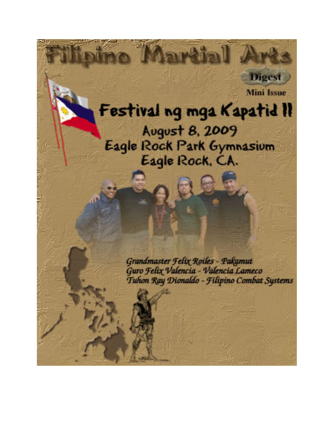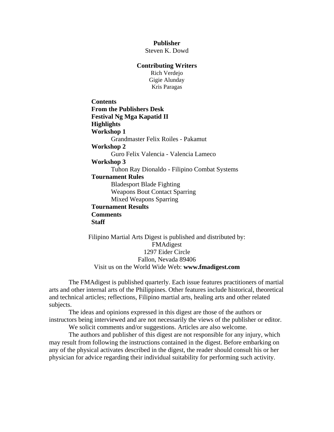**Publisher** 

Steven K. Dowd

## **Contributing Writers**

Rich Verdejo Gigie Alunday Kris Paragas

**Contents [From the Publishers Desk](#page-2-0)  [Festival Ng Mga Kapatid II](#page-3-0)  [Highlights](#page-3-0)  Workshop 1**  [Grandmaster Felix Roiles - Pakamut](#page-6-0)  **Workshop 2**  [Guro Felix Valencia - Valencia Lameco](#page-7-0)  **Workshop 3**  [Tuhon Ray Dionaldo - Filipino Combat Systems](#page-8-0)  **Tournament Rules**  [Bladesport Blade Fighting](#page-11-0)  [Weapons Bout Contact Sparring](#page-14-0)  [Mixed Weapons Sparring](#page-16-0)  **[Tournament Results](#page-18-0)  [Comments](#page-19-0)  [Staff](#page-20-0)**

Filipino Martial Arts Digest is published and distributed by: FMAdigest 1297 Eider Circle Fallon, Nevada 89406 Visit us on the World Wide Web: **[www.fmadigest.com](http://www.fmadigest.com/)**

The FMAdigest is published quarterly. Each issue features practitioners of martial arts and other internal arts of the Philippines. Other features include historical, theoretical and technical articles; reflections, Filipino martial arts, healing arts and other related subjects.

The ideas and opinions expressed in this digest are those of the authors or instructors being interviewed and are not necessarily the views of the publisher or editor.

We solicit comments and/or suggestions. Articles are also welcome.

The authors and publisher of this digest are not responsible for any injury, which may result from following the instructions contained in the digest. Before embarking on any of the physical activates described in the digest, the reader should consult his or her physician for advice regarding their individual suitability for performing such activity.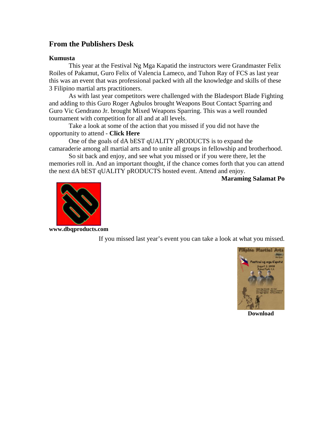# <span id="page-2-0"></span>**From the Publishers Desk**

## **Kumusta**

This year at the Festival Ng Mga Kapatid the instructors were Grandmaster Felix Roiles of Pakamut, Guro Felix of Valencia Lameco, and Tuhon Ray of FCS as last year this was an event that was professional packed with all the knowledge and skills of these 3 Filipino martial arts practitioners.

As with last year competitors were challenged with the Bladesport Blade Fighting and adding to this Guro Roger Agbulos brought Weapons Bout Contact Sparring and Guro Vic Gendrano Jr. brought Mixed Weapons Sparring. This was a well rounded tournament with competition for all and at all levels.

Take a look at some of the action that you missed if you did not have the opportunity to attend - **[Click Here](http://martialmatrix.ning.com/video/video/show?id=2280117%3AVideo%3A67629)** 

One of the goals of dA bEST qUALITY pRODUCTS is to expand the camaraderie among all martial arts and to unite all groups in fellowship and brotherhood.

So sit back and enjoy, and see what you missed or if you were there, let the memories roll in. And an important thought, if the chance comes forth that you can attend the next dA bEST qUALITY pRODUCTS hosted event. Attend and enjoy.

**Maraming Salamat Po**



**[www.dbqproducts.com](http://www.dbqproducts.com/)**

If you missed last year's event you can take a look at what you missed.



**[Download](http://www.fmadigest.com/Issues/mini-issues/2008/Mini-Issue_Festival-Ng-Mga-Kapatid.pdf)**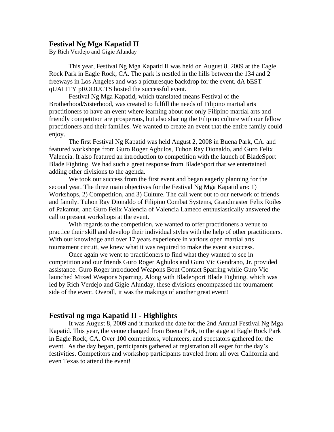# <span id="page-3-0"></span>**Festival Ng Mga Kapatid II**

By Rich Verdejo and Gigie Alunday

This year, Festival Ng Mga Kapatid II was held on August 8, 2009 at the Eagle Rock Park in Eagle Rock, CA. The park is nestled in the hills between the 134 and 2 freeways in Los Angeles and was a picturesque backdrop for the event. dA bEST qUALITY pRODUCTS hosted the successful event.

Festival Ng Mga Kapatid, which translated means Festival of the Brotherhood/Sisterhood, was created to fulfill the needs of Filipino martial arts practitioners to have an event where learning about not only Filipino martial arts and friendly competition are prosperous, but also sharing the Filipino culture with our fellow practitioners and their families. We wanted to create an event that the entire family could enjoy.

The first Festival Ng Kapatid was held August 2, 2008 in Buena Park, CA. and featured workshops from Guro Roger Agbulos, Tuhon Ray Dionaldo, and Guro Felix Valencia. It also featured an introduction to competition with the launch of BladeSport Blade Fighting. We had such a great response from BladeSport that we entertained adding other divisions to the agenda.

We took our success from the first event and began eagerly planning for the second year. The three main objectives for the Festival Ng Mga Kapatid are: 1) Workshops, 2) Competition, and 3) Culture. The call went out to our network of friends and family. Tuhon Ray Dionaldo of Filipino Combat Systems, Grandmaster Felix Roiles of Pakamut, and Guro Felix Valencia of Valencia Lameco enthusiastically answered the call to present workshops at the event.

With regards to the competition, we wanted to offer practitioners a venue to practice their skill and develop their individual styles with the help of other practitioners. With our knowledge and over 17 years experience in various open martial arts tournament circuit, we knew what it was required to make the event a success.

Once again we went to practitioners to find what they wanted to see in competition and our friends Guro Roger Agbulos and Guro Vic Gendrano, Jr. provided assistance. Guro Roger introduced Weapons Bout Contact Sparring while Guro Vic launched Mixed Weapons Sparring. Along with BladeSport Blade Fighting, which was led by Rich Verdejo and Gigie Alunday, these divisions encompassed the tournament side of the event. Overall, it was the makings of another great event!

## **Festival ng mga Kapatid II - Highlights**

It was August 8, 2009 and it marked the date for the 2nd Annual Festival Ng Mga Kapatid. This year, the venue changed from Buena Park, to the stage at Eagle Rock Park in Eagle Rock, CA. Over 100 competitors, volunteers, and spectators gathered for the event. As the day began, participants gathered at registration all eager for the day's festivities. Competitors and workshop participants traveled from all over California and even Texas to attend the event!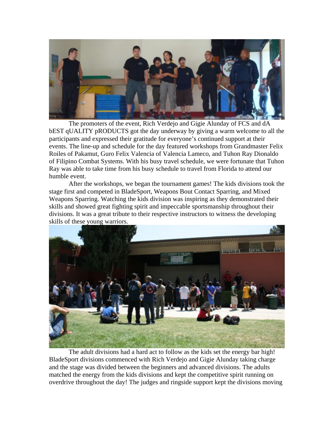

The promoters of the event, Rich Verdejo and Gigie Alunday of FCS and dA bEST qUALITY pRODUCTS got the day underway by giving a warm welcome to all the participants and expressed their gratitude for everyone's continued support at their events. The line-up and schedule for the day featured workshops from Grandmaster Felix Roiles of Pakamut, Guro Felix Valencia of Valencia Lameco, and Tuhon Ray Dionaldo of Filipino Combat Systems. With his busy travel schedule, we were fortunate that Tuhon Ray was able to take time from his busy schedule to travel from Florida to attend our humble event.

After the workshops, we began the tournament games! The kids divisions took the stage first and competed in BladeSport, Weapons Bout Contact Sparring, and Mixed Weapons Sparring. Watching the kids division was inspiring as they demonstrated their skills and showed great fighting spirit and impeccable sportsmanship throughout their divisions. It was a great tribute to their respective instructors to witness the developing skills of these young warriors.



The adult divisions had a hard act to follow as the kids set the energy bar high! BladeSport divisions commenced with Rich Verdejo and Gigie Alunday taking charge and the stage was divided between the beginners and advanced divisions. The adults matched the energy from the kids divisions and kept the competitive spirit running on overdrive throughout the day! The judges and ringside support kept the divisions moving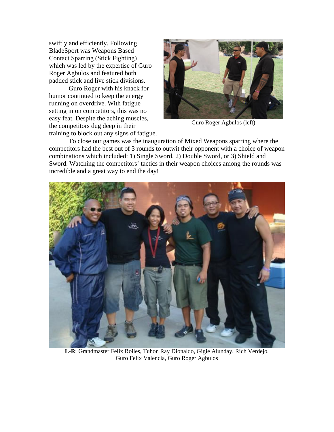swiftly and efficiently. Following BladeSport was Weapons Based Contact Sparring (Stick Fighting) which was led by the expertise of Guro Roger Agbulos and featured both padded stick and live stick divisions.

Guro Roger with his knack for humor continued to keep the energy running on overdrive. With fatigue setting in on competitors, this was no easy feat. Despite the aching muscles, the competitors dug deep in their training to block out any signs of fatigue.

incredible and a great way to end the day!



Guro Roger Agbulos (left)

To close our games was the inauguration of Mixed Weapons sparring where the competitors had the best out of 3 rounds to outwit their opponent with a choice of weapon combinations which included: 1) Single Sword, 2) Double Sword, or 3) Shield and Sword. Watching the competitors' tactics in their weapon choices among the rounds was



**L-R**: Grandmaster Felix Roiles, Tuhon Ray Dionaldo, Gigie Alunday, Rich Verdejo, Guro Felix Valencia, Guro Roger Agbulos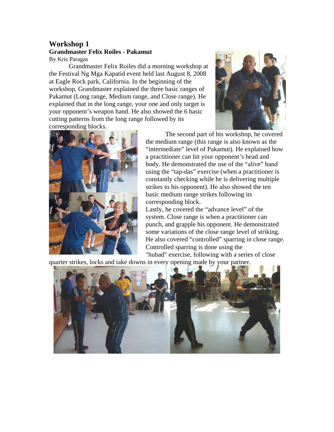# <span id="page-6-0"></span>**Workshop 1 Grandmaster Felix Roiles - Pakamut**  By Kris Paragas

Grandmaster Felix Roiles did a morning workshop at the Festival Ng Mga Kapatid event held last August 8, 2008 at Eagle Rock park, California. In the beginning of the workshop, Grandmaster explained the three basic ranges of Pakamut (Long range, Medium range, and Close range). He explained that in the long range, your one and only target is your opponent's weapon hand. He also showed the 6 basic cutting patterns from the long range followed by its corresponding blocks.





The second part of his workshop, he covered the medium range (this range is also known as the "intermediate" level of Pakamut). He explained how a practitioner can hit your opponent's head and body. He demonstrated the use of the "alive" hand using the "tap-das" exercise (when a practitioner is constantly checking while he is delivering multiple strikes to his opponent). He also showed the ten basic medium range strikes following its corresponding block.

Lastly, he covered the "advance level" of the system. Close range is when a practitioner can punch, and grapple his opponent. He demonstrated some variations of the close range level of striking. He also covered "controlled" sparring in close range. Controlled sparring is done using the

"hubad" exercise, following with a series of close quarter strikes, locks and take downs in every opening made by your partner.

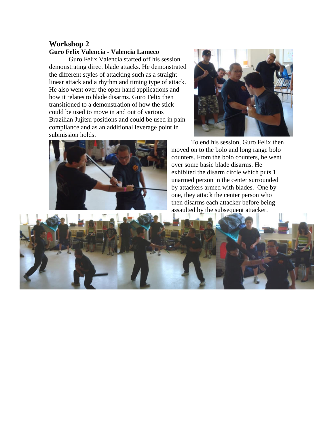# <span id="page-7-0"></span>**Workshop 2 Guro Felix Valencia - Valencia Lameco**

Guro Felix Valencia started off his session demonstrating direct blade attacks. He demonstrated the different styles of attacking such as a straight linear attack and a rhythm and timing type of attack. He also went over the open hand applications and how it relates to blade disarms. Guro Felix then transitioned to a demonstration of how the stick could be used to move in and out of various Brazilian Jujitsu positions and could be use d in pain compliance and as an additional leverage point in submission holds.





To end his session, Guro Felix then moved on to the bolo and long range bolo counters. From the bolo counters, he went over some basic blade disarms. He exhibited the disarm circle which puts 1 unarmed person in the center surrounded by attackers armed with blades. One by one, they attack the center person who then disarms each attacker before b eing assaulted by the subsequent attacker.

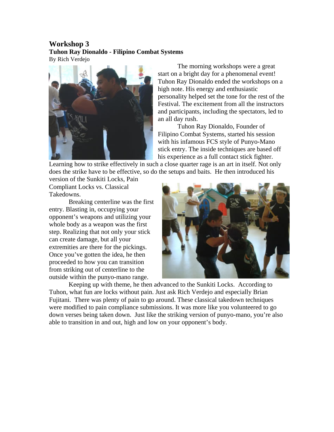# <span id="page-8-0"></span>**Workshop 3 Tuhon Ray Dionaldo - Filipino Combat Systems**  By Rich Verdejo



The morning workshops were a great start on a bright day for a phenomenal event! Tuhon Ray Dionaldo ended the workshops on a high note. His energy and enthusiastic personality helped set the tone for the rest of the Festival. The excitement from all the instructors and participants, including the spectators, led to an all day rush.

Tuhon Ray Dionaldo, Founder of Filipino Combat Systems, started his session with his infamous FCS style of Punyo-Mano stick entry. The inside techniques are based off his experience as a full contact stick fighter.

Learning how to strike effectively in such a close quarter rage is an art in itself. Not only does the strike have to be effective, so do the setups and baits. He then introduced his

version of the Sunkiti Locks, Pain Compli ant Locks vs. Classical Takedowns.

whole body as a weapon was the first from st riking out of centerline to the outside within the punyo-mano range. Breaking centerline was the first entry. Blasting in, occupying your opponent's weapons and utilizing your step. Realizing that not only your stick can create damage, but all your extremities are there for the pickings. Once you've gotten the idea, he then proceeded to how you can transition



Keeping up with theme, he then advanced to the Sunkiti Locks. According to Tuhon, what fun are locks without pain. Just ask Rich Verdejo and especially Brian able to transition in and out, high and low on your opponent's body. Fujitani. There was plenty of pain to go around. These classical takedown techniques were modified to pain compliance submissions. It was more like you volunteered to go down verses being taken down. Just like the striking version of punyo-mano, you're also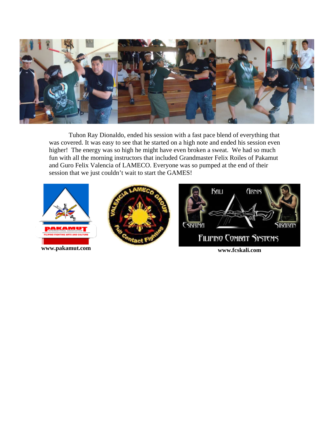

Tuhon Ray Dionaldo, ended his session with a fast pace blend of everything that was covered. It was easy to see that he started on a high note and ended his session even higher! The energy was so high he might have even broken a sweat. We had so much fun with all the morning instructors that included Grandmaster Felix Roiles of Pakamut and Guro Felix Valencia of LAMECO. Everyone was so pumped at the end of their session that we just couldn't wait to start the GAMES!

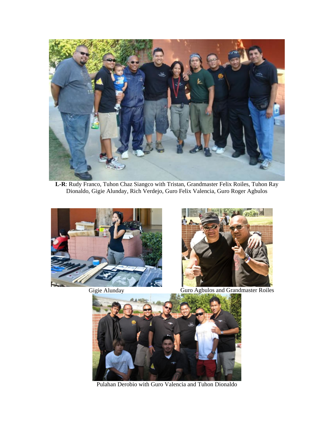

**L-R**: Rudy Franco, Tuhon Chaz Siangco with Tristan, Grandmaster Felix Roiles, Tuhon Ray Dionaldo, Gigie Alunday, Rich Verdejo, Guro Felix Valencia, Guro Roger Agbulos





Gigie Alunday Guro Agbulos and Grandmaster Roiles



Pulahan Derobio with Guro Valencia and Tuhon Dionaldo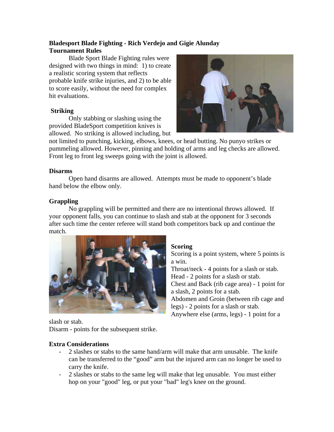# <span id="page-11-0"></span>**Bladesport Blade Fighting - Rich Verdejo and Gigie Alunday Tournament Rules**

Blade Sport Blade Fighting rules were designed with two things in mind: 1) to create a realistic scoring system that reflects probable knife strike injuries, and 2) to be able to score easily, without the need for complex hit evaluations.

# **Striking**

Only stabbing or slashing using the provided BladeSport competition knives is allowed. No striking is allowed including, but



not limited to punching, kicking, elbows, knees, or head butting. No punyo strikes or pummeling allowed. However, pinning and holding of arms and leg checks are allowed. Front leg to front leg sweeps going with the joint is allowed.

# **Disarms**

Open hand disarms are allowed. Attempts must be made to opponent's blade hand below the elbow only.

# **Grappling**

No grappling will be permitted and there are no intentional throws allowed. If your opponent falls, you can continue to slash and stab at the opponent for 3 seconds after such time the center referee will stand both competitors back up and continue the match.



## **Scoring**

Scoring is a point system, where 5 points is a win.

Throat/neck - 4 points for a slash or stab. Head - 2 points for a slash or stab. Chest and Back (rib cage area) - 1 point for a slash, 2 points for a stab. Abdomen and Groin (between rib cage and legs) - 2 points for a slash or stab.

Anywhere else (arms, legs) - 1 point for a

slash or stab.

Disarm - points for the subsequent strike.

# **Extra Considerations**

- 2 slashes or stabs to the same hand/arm will make that arm unusable. The knife can be transferred to the "good" arm but the injured arm can no longer be used to carry the knife.
- 2 slashes or stabs to the same leg will make that leg unusable. You must either hop on your "good" leg, or put your "bad" leg's knee on the ground.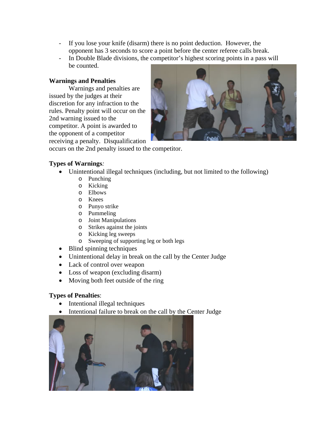- If you lose your knife (disarm) there is no point deduction. However, the opponent has 3 seconds to score a point before the center referee calls break.
- In Double Blade divisions, the competitor's highest scoring points in a pass will be counted.

# **Warnings and Penalties**

Warnings and penalties are issued by the judges at their discretion for any infraction to the rules. Penalty point will occur on the 2nd warning issued to the competitor. A point is awarded to the opponent of a competitor receiving a penalty. Disqualification



occurs on the 2nd penalty issued to the competitor.

# **Types of Warnings***:*

- Unintentional illegal techniques (including, but not limited to the following)
	- o Punching
	- o Kicking
	- o Elbows
	- o Knees
	- o Punyo strike
	- o Pummeling
	- o Joint Manipulations
	- o Strikes against the joints
	- o Kicking leg sweeps
	- o Sweeping of supporting leg or both legs
- Blind spinning techniques
- Unintentional delay in break on the call by the Center Judge
- Lack of control over weapon
- Loss of weapon (excluding disarm)
- Moving both feet outside of the ring

# **Types of Penalties**:

- Intentional illegal techniques
- Intentional failure to break on the call by the Center Judge

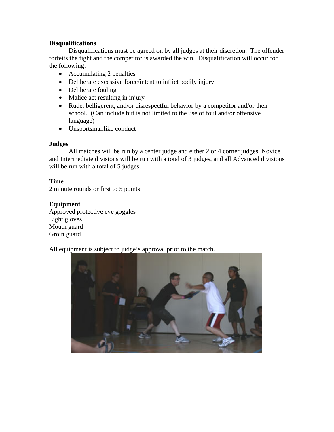# **Disqualifications**

Disqualifications must be agreed on by all judges at their discretion. The offender forfeits the fight and the competitor is awarded the win. Disqualification will occur for the following:

- Accumulating 2 penalties
- Deliberate excessive force/intent to inflict bodily injury
- Deliberate fouling
- Malice act resulting in injury
- Rude, belligerent, and/or disrespectful behavior by a competitor and/or their school. (Can include but is not limited to the use of foul and/or offensive language)
- Unsportsmanlike conduct

## **Judges**

All matches will be run by a center judge and either 2 or 4 corner judges. Novice and Intermediate divisions will be run with a total of 3 judges, and all Advanced divisions will be run with a total of 5 judges.

## **Time**

2 minute rounds or first to 5 points.

## **Equipment**

Approved protective eye goggles Light gloves Mouth guard Groin guard

All equipment is subject to judge's approval prior to the match.

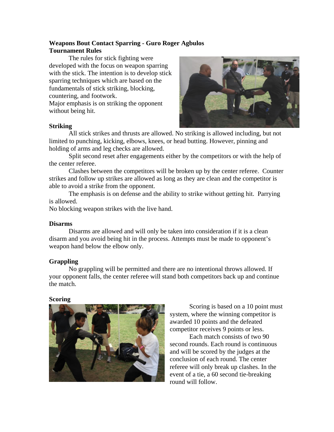# <span id="page-14-0"></span>**Weapons Bout Contact Sparring - Guro Roger Agbulos Tournament Rules**

The rules for stick fighting were developed with the focus on weapon sparring with the stick. The intention is to develop stick sparring techniques which are based on the fundamentals of stick striking, blocking, countering, and footwork.

Major emphasis is on striking the opponent without being hit.



### **Striking**

All stick strikes and thrusts are allowed. No striking is allowed including, but not limited to punching, kicking, elbows, knees, or head butting. However, pinning and holding of arms and leg checks are allowed.

Split second reset after engagements either by the competitors or with the help of the center referee.

Clashes between the competitors will be broken up by the center referee. Counter strikes and follow up strikes are allowed as long as they are clean and the competitor is able to avoid a strike from the opponent.

The emphasis is on defense and the ability to strike without getting hit. Parrying is allowed.

No blocking weapon strikes with the live hand.

## **Disarms**

Disarms are allowed and will only be taken into consideration if it is a clean disarm and you avoid being hit in the process. Attempts must be made to opponent's weapon hand below the elbow only.

## **Grappling**

No grappling will be permitted and there are no intentional throws allowed. If your opponent falls, the center referee will stand both competitors back up and continue the match.

## **Scoring**



Scoring is based on a 10 point must system, where the winning competitor is awarded 10 points and the defeated competitor receives 9 points or less.

Each match consists of two 90 second rounds. Each round is continuous and will be scored by the judges at the conclusion of each round. The center referee will only break up clashes. In the event of a tie, a 60 second tie-breaking round will follow.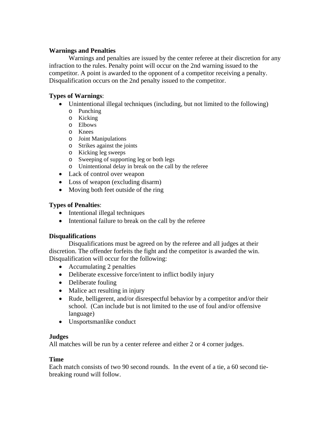# **Warnings and Penalties**

Warnings and penalties are issued by the center referee at their discretion for any infraction to the rules. Penalty point will occur on the 2nd warning issued to the competitor. A point is awarded to the opponent of a competitor receiving a penalty. Disqualification occurs on the 2nd penalty issued to the competitor.

# **Types of Warnings**:

- Unintentional illegal techniques (including, but not limited to the following)
	- o Punching
	- o Kicking
	- o Elbows
	- o Knees
	- o Joint Manipulations
	- o Strikes against the joints
	- o Kicking leg sweeps
	- o Sweeping of supporting leg or both legs
	- o Unintentional delay in break on the call by the referee
- Lack of control over weapon
- Loss of weapon (excluding disarm)
- Moving both feet outside of the ring

# **Types of Penalties**:

- Intentional illegal techniques
- Intentional failure to break on the call by the referee

# **Disqualifications**

Disqualifications must be agreed on by the referee and all judges at their discretion. The offender forfeits the fight and the competitor is awarded the win. Disqualification will occur for the following:

- Accumulating 2 penalties
- Deliberate excessive force/intent to inflict bodily injury
- Deliberate fouling
- Malice act resulting in injury
- Rude, belligerent, and/or disrespectful behavior by a competitor and/or their school. (Can include but is not limited to the use of foul and/or offensive language)
- Unsportsmanlike conduct

## **Judges**

All matches will be run by a center referee and either 2 or 4 corner judges.

# **Time**

Each match consists of two 90 second rounds. In the event of a tie, a 60 second tiebreaking round will follow.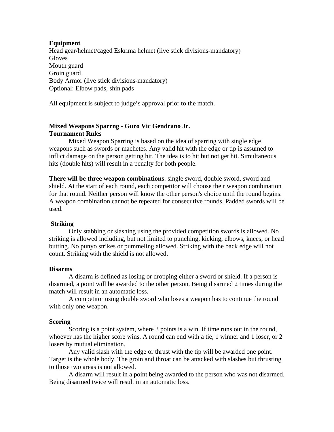## <span id="page-16-0"></span>**Equipment**

Head gear/helmet/caged Eskrima helmet (live stick divisions-mandatory) **Gloves** Mouth guard Groin guard Body Armor (live stick divisions-mandatory) Optional: Elbow pads, shin pads

All equipment is subject to judge's approval prior to the match.

# **Mixed Weapons Sparrng - Guro Vic Gendrano Jr. Tournament Rules**

Mixed Weapon Sparring is based on the idea of sparring with single edge weapons such as swords or machetes. Any valid hit with the edge or tip is assumed to inflict damage on the person getting hit. The idea is to hit but not get hit. Simultaneous hits (double hits) will result in a penalty for both people.

**There will be three weapon combinations**: single sword, double sword, sword and shield. At the start of each round, each competitor will choose their weapon combination for that round. Neither person will know the other person's choice until the round begins. A weapon combination cannot be repeated for consecutive rounds. Padded swords will be used.

## **Striking**

Only stabbing or slashing using the provided competition swords is allowed. No striking is allowed including, but not limited to punching, kicking, elbows, knees, or head butting. No punyo strikes or pummeling allowed. Striking with the back edge will not count. Striking with the shield is not allowed.

## **Disarms**

A disarm is defined as losing or dropping either a sword or shield. If a person is disarmed, a point will be awarded to the other person. Being disarmed 2 times during the match will result in an automatic loss.

A competitor using double sword who loses a weapon has to continue the round with only one weapon.

## **Scoring**

Scoring is a point system, where 3 points is a win. If time runs out in the round, whoever has the higher score wins. A round can end with a tie, 1 winner and 1 loser, or 2 losers by mutual elimination.

Any valid slash with the edge or thrust with the tip will be awarded one point. Target is the whole body. The groin and throat can be attacked with slashes but thrusting to those two areas is not allowed.

A disarm will result in a point being awarded to the person who was not disarmed. Being disarmed twice will result in an automatic loss.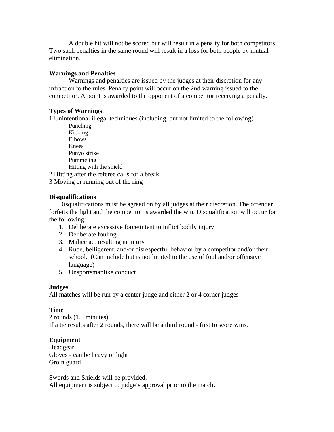A double hit will not be scored but will result in a penalty for both competitors. Two such penalties in the same round will result in a loss for both people by mutual elimination.

# **Warnings and Penalties**

Warnings and penalties are issued by the judges at their discretion for any infraction to the rules. Penalty point will occur on the 2nd warning issued to the competitor. A point is awarded to the opponent of a competitor receiving a penalty.

# **Types of Warnings**:

1 Unintentional illegal techniques (including, but not limited to the following)

Punching Kicking Elbows Knees Punyo strike Pummeling Hitting with the shield

2 Hitting after the referee calls for a break

3 Moving or running out of the ring

# **Disqualifications**

Disqualifications must be agreed on by all judges at their discretion. The offender forfeits the fight and the competitor is awarded the win. Disqualification will occur for the following:

- 1. Deliberate excessive force/intent to inflict bodily injury
- 2. Deliberate fouling
- 3. Malice act resulting in injury
- 4. Rude, belligerent, and/or disrespectful behavior by a competitor and/or their school. (Can include but is not limited to the use of foul and/or offensive language)
- 5. Unsportsmanlike conduct

# **Judges**

All matches will be run by a center judge and either 2 or 4 corner judges

## **Time**

2 rounds (1.5 minutes) If a tie results after 2 rounds, there will be a third round - first to score wins.

# **Equipment**

Headgear Gloves - can be heavy or light Groin guard

Swords and Shields will be provided. All equipment is subject to judge's approval prior to the match.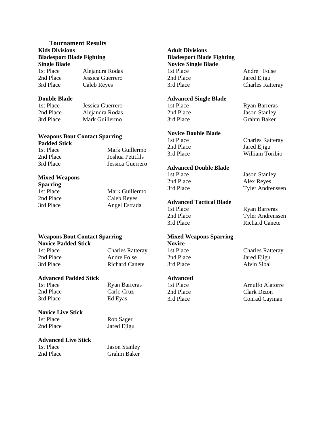# <span id="page-18-0"></span>**Tournament Results Kids Divisions Bladesport Blade Fighting**

**Single Blade**  1st Place 2nd Place 3rd Place Alejandra Rodas Jessica Guerrero Caleb Reyes

#### **Double Blade**

1st Place 2nd Place 3rd Place Jessica Guerrero Alejandra Rodas Mark Guillermo

## **Weapons Bout Contact Sparring Padded Stick**

1st Place 2nd Place 3rd Place Mark Guillermo Joshua Petitfils Jessica Guerrero

#### **Mixed Weapons**

**Sparring**  1st Place 2nd Place 3rd Place Mark Guillermo Caleb Reyes Angel Estrada

#### Weapons Bout Contact Sparring **Mixed Weapons Sparring Novice Padded Stick**

1st Place 2nd Place 3rd Place Charles Ratteray Andre Folse Richard Canete

#### **Advanced Padded Stick**

1st Place 2nd Place 3rd Place

#### Ryan Barreras Carlo Cruz Ed Eyas

Rob Sager Jared Ejigu

#### **Novice Live Stick**

1st Place 2nd Place

#### **Advanced Live Stick**

1st Place 2nd Place Jason Stanley Grahm Baker

#### **Adult Divisions Bladesport Blade Fighting Novice Single Blade**  1st Place 2nd Place 3rd Place

**Advanced Single Blade** 

1st Place 2nd Place 3rd Place

#### **Novice Double Blade**

1st Place 2nd Place 3rd Place

## **Advanced Double Blade**

1st Place 2nd Place 3rd Place

#### **Advanced Tactical Blade**

1st Place 2nd Place 3rd Place

# **Novice**

1st Place 2nd Place 3rd Place

2nd Place 3rd Place

Andre Folse Jared Ejigu Charles Ratteray

Ryan Barreras Jason Stanley Grahm Baker

Charles Ratteray Jared Ejigu William Toribio

Jason Stanley Alex Reyes Tyler Andrenssen

Ryan Barreras Tyler Andrenssen Richard Canete

Charles Ratteray Jared Ejigu Alvin Sibal

Arnulfo Alatorre Clark Dizon Conrad Cayman

**Advanced**  1st Place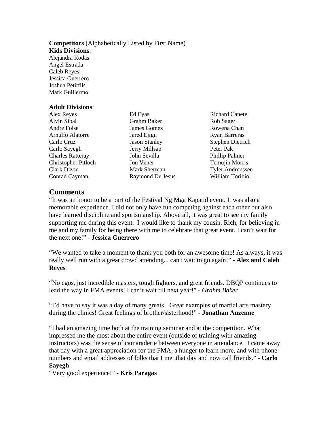#### <span id="page-19-0"></span>**Competitors** (Alphabetically Listed by First Name) **Kids Divisions**:

Alejandra Rodas Angel Estrada Caleb Reyes Jessica Guerrero Joshua Petitfils Mark Guillermo

#### **Adult Divisions**:

Alex Reyes Alvin Sibal Andre Folse Arnulfo Alatorre Carlo Cruz Carlo Sayegh Charles Ratteray Christopher Pitloch Clark Dizon Conrad Cayman

Ed Eyas Grahm Baker James Gomez Jared Ejigu Jason Stanley Jerry Millsap John Sevilla Jon Vener Mark Sherman Raymond De Jesus Richard Canete Rob Sager Rowena Chan Ryan Barreras Stephen Dietrich Peter Pak Phillip Palmer Temujin Morris Tyler Andrenssen William Toribio

# **Comments**

"It was an honor to be a part of the Festival Ng Mga Kapatid event. It was also a memorable experience. I did not only have fun competing against each other but also have learned discipline and sportsmanship. Above all, it was great to see my family supporting me during this event. I would like to thank my cousin, Rich, for believing in me and my family for being there with me to celebrate that great event. I can't wait for the next one!" - **Jessica Guerrero**

"We wanted to take a moment to thank you both for an awesome time! As always, it was really well run with a great crowd attending... can't wait to go again!" - **Alex and Caleb Reyes**

"No egos, just incredible masters, tough fighters, and great friends. DBQP continues to lead the way in FMA events! I can't wait till next year!" - *Grahm Baker*

"I'd have to say it was a day of many greats! Great examples of martial arts mastery during the clinics! Great feelings of brother/sisterhood!" - **Jonathan Auzenne**

"I had an amazing time both at the training seminar and at the competition. What impressed me the most about the entire event (outside of training with amazing instructors) was the sense of camaraderie between everyone in attendance, I came away that day with a great appreciation for the FMA, a hunger to learn more, and with phone numbers and email addresses of folks that I met that day and now call friends." - **Carlo Sayegh**

"Very good experience!" *-* **Kris Paragas**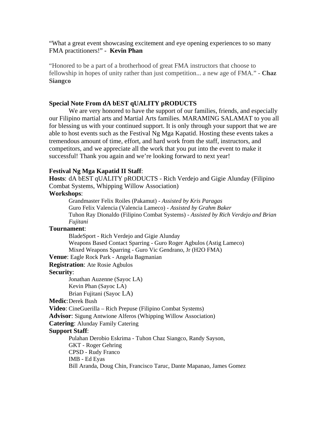<span id="page-20-0"></span>"What a great event showcasing excitement and eye opening experiences to so many FMA practitioners!" - **Kevin Phan**

"Honored to be a part of a brotherhood of great FMA instructors that choose to fellowship in hopes of unity rather than just competition... a new age of FMA." - **Chaz Siangco**

#### **Special Note From dA bEST qUALITY pRODUCTS**

We are very honored to have the support of our families, friends, and especially our Filipino martial arts and Martial Arts families. MARAMING SALAMAT to you all for blessing us with your continued support. It is only through your support that we are able to host events such as the Festival Ng Mga Kapatid. Hosting these events takes a tremendous amount of time, effort, and hard work from the staff, instructors, and competitors, and we appreciate all the work that you put into the event to make it successful! Thank you again and we're looking forward to next year!

#### **Festival Ng Mga Kapatid II Staff**:

**Hosts**: dA bEST qUALITY pRODUCTS - Rich Verdejo and Gigie Alunday (Filipino Combat Systems, Whipping Willow Association)

#### **Workshops**:

Grandmaster Felix Roiles (Pakamut) - *Assisted by Kris Paragas* Guro Felix Valencia (Valencia Lameco) - *Assisted by Grahm Baker* Tuhon Ray Dionaldo (Filipino Combat Systems) - *Assisted by Rich Verdejo and Brian Fujitani* 

#### **Tournament**:

BladeSport - Rich Verdejo and Gigie Alunday Weapons Based Contact Sparring - Guro Roger Agbulos (Astig Lameco) Mixed Weapons Sparring - Guro Vic Gendrano, Jr (H2O FMA)

#### **Venue**: Eagle Rock Park - Angela Bagmanian

**Registration**: Ate Rosie Agbulos

#### **Security**:

Jonathan Auzenne (Sayoc LA) Kevin Phan (Sayoc LA) Brian Fujitani (Sayoc LA)

#### **Medic**: Derek Bush

**Video**: CineGuerilla – Rich Prepuse (Filipino Combat Systems)

**Advisor**: Sigung Antwione Alferos (Whipping Willow Association)

**Catering**: Alunday Family Catering

#### **Support Staff**:

Pulahan Derobio Eskrima - Tuhon Chaz Siangco, Randy Sayson, GKT - Roger Gehring CPSD - Rudy Franco IMB - Ed Eyas Bill Aranda, Doug Chin, Francisco Taruc, Dante Mapanao, James Gomez